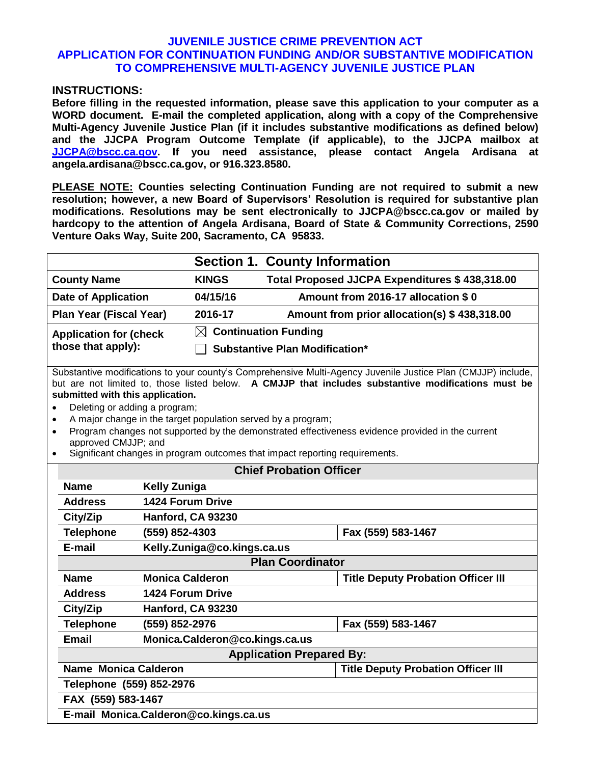## **JUVENILE JUSTICE CRIME PREVENTION ACT APPLICATION FOR CONTINUATION FUNDING AND/OR SUBSTANTIVE MODIFICATION TO COMPREHENSIVE MULTI-AGENCY JUVENILE JUSTICE PLAN**

### **INSTRUCTIONS:**

**Before filling in the requested information, please save this application to your computer as a WORD document. E-mail the completed application, along with a copy of the Comprehensive Multi-Agency Juvenile Justice Plan (if it includes substantive modifications as defined below) and the JJCPA Program Outcome Template (if applicable), to the JJCPA mailbox at [JJCPA@bscc.ca.gov.](mailto:JJCPA@bscc.ca.gov) If you need assistance, please contact Angela Ardisana at angela.ardisana@bscc.ca.gov, or 916.323.8580.**

**PLEASE NOTE: Counties selecting Continuation Funding are not required to submit a new resolution; however, a new Board of Supervisors' Resolution is required for substantive plan modifications. Resolutions may be sent electronically to JJCPA@bscc.ca.gov or mailed by hardcopy to the attention of Angela Ardisana, Board of State & Community Corrections, 2590 Venture Oaks Way, Suite 200, Sacramento, CA 95833.** 

|                                                      | <b>Section 1. County Information</b>                                      |                                                |  |
|------------------------------------------------------|---------------------------------------------------------------------------|------------------------------------------------|--|
| <b>County Name</b>                                   | <b>KINGS</b>                                                              | Total Proposed JJCPA Expenditures \$438,318.00 |  |
| <b>Date of Application</b>                           | 04/15/16                                                                  | Amount from 2016-17 allocation \$0             |  |
| <b>Plan Year (Fiscal Year)</b>                       | 2016-17                                                                   | Amount from prior allocation(s) \$438,318.00   |  |
| <b>Application for (check)</b><br>those that apply): | $\boxtimes$ Continuation Funding<br><b>Substantive Plan Modification*</b> |                                                |  |

Substantive modifications to your county's Comprehensive Multi-Agency Juvenile Justice Plan (CMJJP) include, but are not limited to, those listed below. **A CMJJP that includes substantive modifications must be submitted with this application.**

- Deleting or adding a program;
- A major change in the target population served by a program;
- Program changes not supported by the demonstrated effectiveness evidence provided in the current approved CMJJP; and
- Significant changes in program outcomes that impact reporting requirements.

| <b>Chief Probation Officer</b>        |                                |                                           |  |  |
|---------------------------------------|--------------------------------|-------------------------------------------|--|--|
| <b>Name</b>                           | <b>Kelly Zuniga</b>            |                                           |  |  |
| <b>Address</b>                        | <b>1424 Forum Drive</b>        |                                           |  |  |
| City/Zip                              | Hanford, CA 93230              |                                           |  |  |
| Telephone                             | (559) 852-4303                 | Fax (559) 583-1467                        |  |  |
| E-mail                                | Kelly.Zuniga@co.kings.ca.us    |                                           |  |  |
| <b>Plan Coordinator</b>               |                                |                                           |  |  |
| <b>Name</b>                           | <b>Monica Calderon</b>         | <b>Title Deputy Probation Officer III</b> |  |  |
| <b>Address</b>                        | <b>1424 Forum Drive</b>        |                                           |  |  |
| City/Zip                              | Hanford, CA 93230              |                                           |  |  |
| <b>Telephone</b>                      | (559) 852-2976                 | Fax (559) 583-1467                        |  |  |
| <b>Email</b>                          | Monica.Calderon@co.kings.ca.us |                                           |  |  |
| <b>Application Prepared By:</b>       |                                |                                           |  |  |
| <b>Name Monica Calderon</b>           |                                | <b>Title Deputy Probation Officer III</b> |  |  |
| Telephone (559) 852-2976              |                                |                                           |  |  |
| FAX (559) 583-1467                    |                                |                                           |  |  |
| E-mail Monica.Calderon@co.kings.ca.us |                                |                                           |  |  |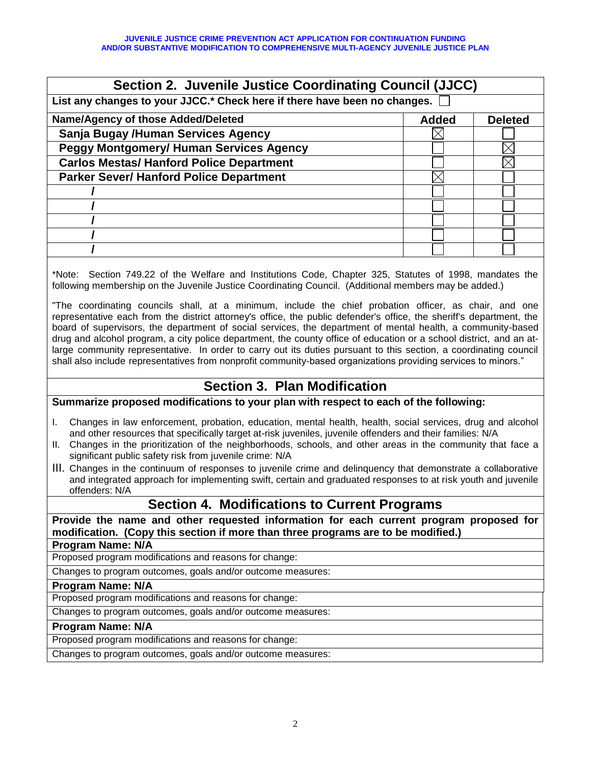| <b>Section 2. Juvenile Justice Coordinating Council (JJCC)</b>            |              |                |  |  |
|---------------------------------------------------------------------------|--------------|----------------|--|--|
| List any changes to your JJCC.* Check here if there have been no changes. |              |                |  |  |
| Name/Agency of those Added/Deleted                                        | <b>Added</b> | <b>Deleted</b> |  |  |
| Sanja Bugay /Human Services Agency                                        |              |                |  |  |
| <b>Peggy Montgomery/ Human Services Agency</b>                            |              |                |  |  |
| <b>Carlos Mestas/ Hanford Police Department</b>                           |              |                |  |  |
| <b>Parker Sever/ Hanford Police Department</b>                            |              |                |  |  |
|                                                                           |              |                |  |  |
|                                                                           |              |                |  |  |
|                                                                           |              |                |  |  |
|                                                                           |              |                |  |  |
|                                                                           |              |                |  |  |
|                                                                           |              |                |  |  |

\*Note: Section 749.22 of the Welfare and Institutions Code, Chapter 325, Statutes of 1998, mandates the following membership on the Juvenile Justice Coordinating Council. (Additional members may be added.)

"The coordinating councils shall, at a minimum, include the chief probation officer, as chair, and one representative each from the district attorney's office, the public defender's office, the sheriff's department, the board of supervisors, the department of social services, the department of mental health, a community-based drug and alcohol program, a city police department, the county office of education or a school district, and an atlarge community representative. In order to carry out its duties pursuant to this section, a coordinating council shall also include representatives from nonprofit community-based organizations providing services to minors."

## **Section 3. Plan Modification**

**Summarize proposed modifications to your plan with respect to each of the following:**

- I. Changes in law enforcement, probation, education, mental health, health, social services, drug and alcohol and other resources that specifically target at-risk juveniles, juvenile offenders and their families: N/A
- II. Changes in the prioritization of the neighborhoods, schools, and other areas in the community that face a significant public safety risk from juvenile crime: N/A
- III. Changes in the continuum of responses to juvenile crime and delinquency that demonstrate a collaborative and integrated approach for implementing swift, certain and graduated responses to at risk youth and juvenile offenders: N/A

## **Section 4. Modifications to Current Programs**

**Provide the name and other requested information for each current program proposed for modification. (Copy this section if more than three programs are to be modified.)**

#### **Program Name: N/A**

Proposed program modifications and reasons for change:

Changes to program outcomes, goals and/or outcome measures:

#### **Program Name: N/A**

Proposed program modifications and reasons for change:

Changes to program outcomes, goals and/or outcome measures:

### **Program Name: N/A**

Proposed program modifications and reasons for change:

Changes to program outcomes, goals and/or outcome measures: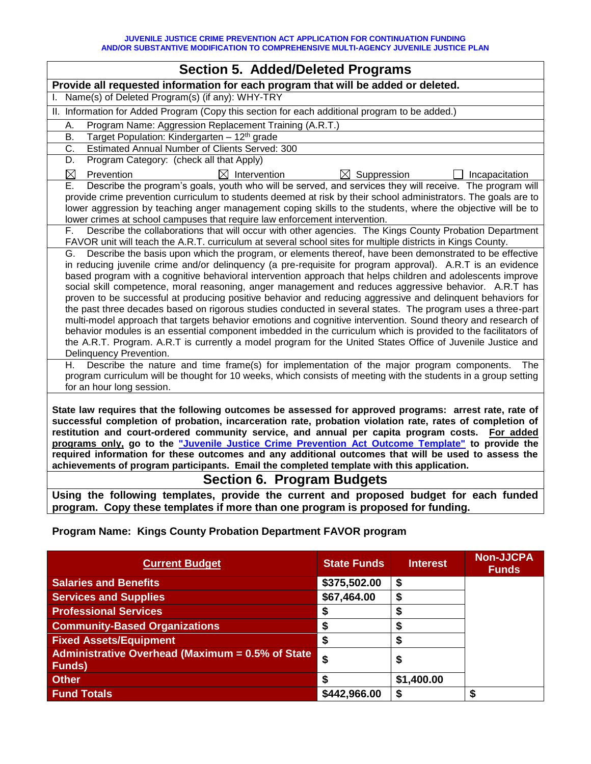| <b>Section 5. Added/Deleted Programs</b>                                                                                                                                                                                                                                                                                                                                                                                                                                                                                                                                                                                                                                                                                                                                                                                                                                                                                                                                                                                                                     |  |  |
|--------------------------------------------------------------------------------------------------------------------------------------------------------------------------------------------------------------------------------------------------------------------------------------------------------------------------------------------------------------------------------------------------------------------------------------------------------------------------------------------------------------------------------------------------------------------------------------------------------------------------------------------------------------------------------------------------------------------------------------------------------------------------------------------------------------------------------------------------------------------------------------------------------------------------------------------------------------------------------------------------------------------------------------------------------------|--|--|
| Provide all requested information for each program that will be added or deleted.                                                                                                                                                                                                                                                                                                                                                                                                                                                                                                                                                                                                                                                                                                                                                                                                                                                                                                                                                                            |  |  |
| Name(s) of Deleted Program(s) (if any): WHY-TRY                                                                                                                                                                                                                                                                                                                                                                                                                                                                                                                                                                                                                                                                                                                                                                                                                                                                                                                                                                                                              |  |  |
| II. Information for Added Program (Copy this section for each additional program to be added.)                                                                                                                                                                                                                                                                                                                                                                                                                                                                                                                                                                                                                                                                                                                                                                                                                                                                                                                                                               |  |  |
| Program Name: Aggression Replacement Training (A.R.T.)<br>А.                                                                                                                                                                                                                                                                                                                                                                                                                                                                                                                                                                                                                                                                                                                                                                                                                                                                                                                                                                                                 |  |  |
| Target Population: Kindergarten - 12 <sup>th</sup> grade<br>В.                                                                                                                                                                                                                                                                                                                                                                                                                                                                                                                                                                                                                                                                                                                                                                                                                                                                                                                                                                                               |  |  |
| $\overline{\text{C}}$ .<br>Estimated Annual Number of Clients Served: 300                                                                                                                                                                                                                                                                                                                                                                                                                                                                                                                                                                                                                                                                                                                                                                                                                                                                                                                                                                                    |  |  |
| Program Category: (check all that Apply)<br>D.                                                                                                                                                                                                                                                                                                                                                                                                                                                                                                                                                                                                                                                                                                                                                                                                                                                                                                                                                                                                               |  |  |
| ⊠<br>$\boxtimes$ Intervention<br>$\boxtimes$ Suppression<br>Prevention<br>Incapacitation                                                                                                                                                                                                                                                                                                                                                                                                                                                                                                                                                                                                                                                                                                                                                                                                                                                                                                                                                                     |  |  |
| Describe the program's goals, youth who will be served, and services they will receive. The program will<br>Ε.<br>provide crime prevention curriculum to students deemed at risk by their school administrators. The goals are to<br>lower aggression by teaching anger management coping skills to the students, where the objective will be to<br>lower crimes at school campuses that require law enforcement intervention.                                                                                                                                                                                                                                                                                                                                                                                                                                                                                                                                                                                                                               |  |  |
| Describe the collaborations that will occur with other agencies. The Kings County Probation Department<br>F.<br>FAVOR unit will teach the A.R.T. curriculum at several school sites for multiple districts in Kings County.                                                                                                                                                                                                                                                                                                                                                                                                                                                                                                                                                                                                                                                                                                                                                                                                                                  |  |  |
| Describe the basis upon which the program, or elements thereof, have been demonstrated to be effective<br>G.<br>in reducing juvenile crime and/or delinquency (a pre-requisite for program approval). A.R.T is an evidence<br>based program with a cognitive behavioral intervention approach that helps children and adolescents improve<br>social skill competence, moral reasoning, anger management and reduces aggressive behavior. A.R.T has<br>proven to be successful at producing positive behavior and reducing aggressive and delinquent behaviors for<br>the past three decades based on rigorous studies conducted in several states. The program uses a three-part<br>multi-model approach that targets behavior emotions and cognitive intervention. Sound theory and research of<br>behavior modules is an essential component imbedded in the curriculum which is provided to the facilitators of<br>the A.R.T. Program. A.R.T is currently a model program for the United States Office of Juvenile Justice and<br>Delinquency Prevention. |  |  |
| Describe the nature and time frame(s) for implementation of the major program components.<br>Η.<br>The<br>program curriculum will be thought for 10 weeks, which consists of meeting with the students in a group setting<br>for an hour long session.                                                                                                                                                                                                                                                                                                                                                                                                                                                                                                                                                                                                                                                                                                                                                                                                       |  |  |
| State law requires that the following outcomes be assessed for approved programs: arrest rate, rate of<br>successful completion of probation, incarceration rate, probation violation rate, rates of completion of<br>restitution and court-ordered community service, and annual per capita program costs. For added<br>programs only, go to the "Juvenile Justice Crime Prevention Act Outcome Template" to provide the<br>required information for these outcomes and any additional outcomes that will be used to assess the<br>achievements of program participants. Email the completed template with this application.                                                                                                                                                                                                                                                                                                                                                                                                                                |  |  |
| <b>Section 6. Program Budgets</b>                                                                                                                                                                                                                                                                                                                                                                                                                                                                                                                                                                                                                                                                                                                                                                                                                                                                                                                                                                                                                            |  |  |
| Using the following templates, provide the current and proposed budget for each funded<br>program. Copy these templates if more than one program is proposed for funding.                                                                                                                                                                                                                                                                                                                                                                                                                                                                                                                                                                                                                                                                                                                                                                                                                                                                                    |  |  |
| Program Name: Kings County Probation Department FAVOR program                                                                                                                                                                                                                                                                                                                                                                                                                                                                                                                                                                                                                                                                                                                                                                                                                                                                                                                                                                                                |  |  |

| <b>Current Budget</b>                                             | <b>State Funds</b> | <b>Interest</b> | <b>Non-JJCPA</b><br><b>Funds</b> |
|-------------------------------------------------------------------|--------------------|-----------------|----------------------------------|
| <b>Salaries and Benefits</b>                                      | \$375,502.00       | \$              |                                  |
| <b>Services and Supplies</b>                                      | \$67,464.00        | \$              |                                  |
| <b>Professional Services</b>                                      |                    | S               |                                  |
| <b>Community-Based Organizations</b>                              | S                  | S               |                                  |
| <b>Fixed Assets/Equipment</b>                                     | \$                 | \$              |                                  |
| Administrative Overhead (Maximum = 0.5% of State<br><b>Funds)</b> | \$                 | \$              |                                  |
| <b>Other</b>                                                      |                    | \$1,400.00      |                                  |
| <b>Fund Totals</b>                                                | \$442,966.00       | \$              | S                                |